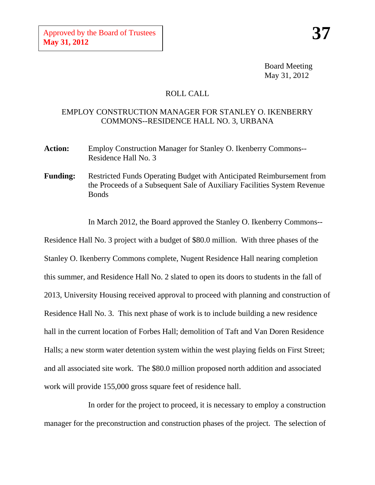Board Meeting May 31, 2012

## ROLL CALL

## EMPLOY CONSTRUCTION MANAGER FOR STANLEY O. IKENBERRY COMMONS--RESIDENCE HALL NO. 3, URBANA

- **Action:** Employ Construction Manager for Stanley O. Ikenberry Commons-- Residence Hall No. 3
- **Funding:** Restricted Funds Operating Budget with Anticipated Reimbursement from the Proceeds of a Subsequent Sale of Auxiliary Facilities System Revenue Bonds

In March 2012, the Board approved the Stanley O. Ikenberry Commons--

Residence Hall No. 3 project with a budget of \$80.0 million. With three phases of the Stanley O. Ikenberry Commons complete, Nugent Residence Hall nearing completion this summer, and Residence Hall No. 2 slated to open its doors to students in the fall of 2013, University Housing received approval to proceed with planning and construction of Residence Hall No. 3. This next phase of work is to include building a new residence hall in the current location of Forbes Hall; demolition of Taft and Van Doren Residence Halls; a new storm water detention system within the west playing fields on First Street; and all associated site work. The \$80.0 million proposed north addition and associated work will provide 155,000 gross square feet of residence hall.

In order for the project to proceed, it is necessary to employ a construction manager for the preconstruction and construction phases of the project. The selection of